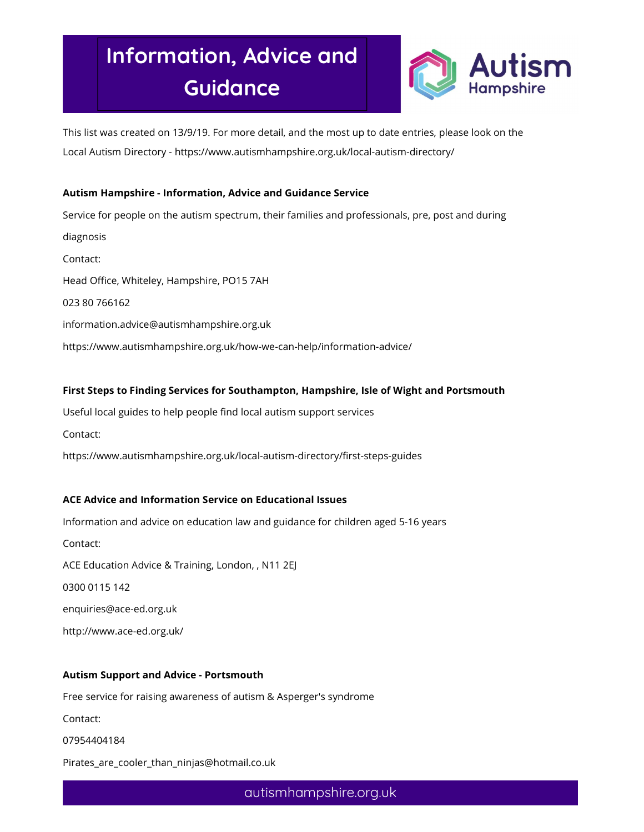

This list was created on 13/9/19. For more detail, and the most up to date entries, please look on the Local Autism Directory - https://www.autismhampshire.org.uk/local-autism-directory/

### Autism Hampshire - Information, Advice and Guidance Service

Service for people on the autism spectrum, their families and professionals, pre, post and during diagnosis Contact: Head Office, Whiteley, Hampshire, PO15 7AH 023 80 766162 information.advice@autismhampshire.org.uk https://www.autismhampshire.org.uk/how-we-can-help/information-advice/

## First Steps to Finding Services for Southampton, Hampshire, Isle of Wight and Portsmouth

Useful local guides to help people find local autism support services

Contact:

https://www.autismhampshire.org.uk/local-autism-directory/first-steps-guides

### ACE Advice and Information Service on Educational Issues

Information and advice on education law and guidance for children aged 5-16 years Contact: ACE Education Advice & Training, London, , N11 2EJ 0300 0115 142 enquiries@ace-ed.org.uk

http://www.ace-ed.org.uk/

### Autism Support and Advice - Portsmouth

Free service for raising awareness of autism & Asperger's syndrome

Contact:

07954404184

Pirates\_are\_cooler\_than\_ninjas@hotmail.co.uk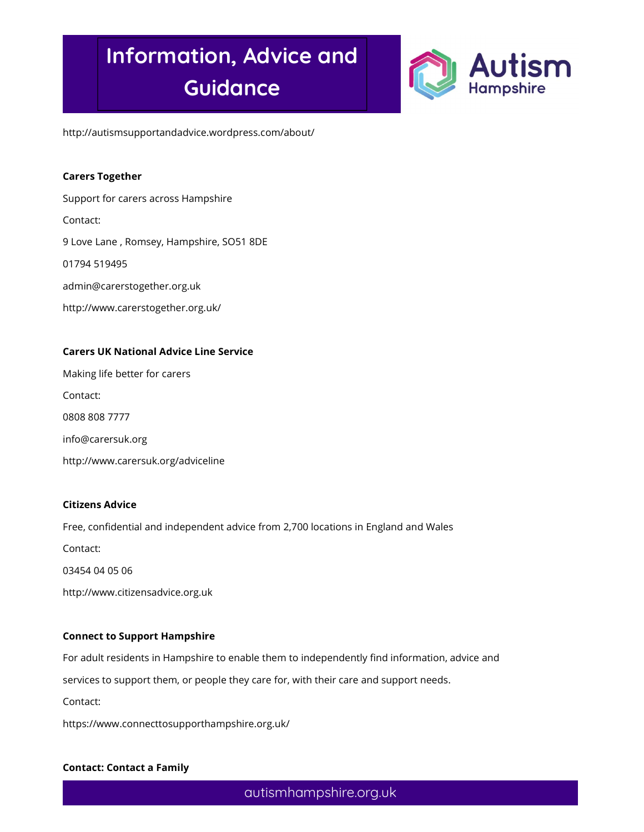

http://autismsupportandadvice.wordpress.com/about/

#### Carers Together

Support for carers across Hampshire Contact: 9 Love Lane , Romsey, Hampshire, SO51 8DE 01794 519495 admin@carerstogether.org.uk http://www.carerstogether.org.uk/

#### Carers UK National Advice Line Service

Making life better for carers Contact: 0808 808 7777 info@carersuk.org http://www.carersuk.org/adviceline

#### Citizens Advice

Free, confidential and independent advice from 2,700 locations in England and Wales Contact: 03454 04 05 06 http://www.citizensadvice.org.uk

#### Connect to Support Hampshire

For adult residents in Hampshire to enable them to independently find information, advice and

services to support them, or people they care for, with their care and support needs.

Contact:

https://www.connecttosupporthampshire.org.uk/

#### Contact: Contact a Family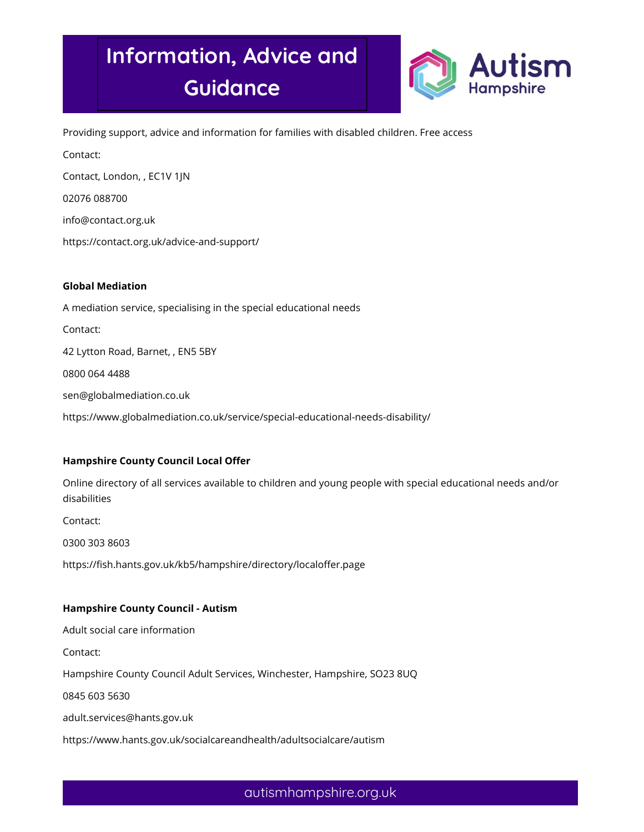

Providing support, advice and information for families with disabled children. Free access

Contact:

Contact, London, , EC1V 1JN

02076 088700

info@contact.org.uk

https://contact.org.uk/advice-and-support/

### Global Mediation

A mediation service, specialising in the special educational needs Contact: 42 Lytton Road, Barnet, , EN5 5BY 0800 064 4488 sen@globalmediation.co.uk https://www.globalmediation.co.uk/service/special-educational-needs-disability/

### Hampshire County Council Local Offer

Online directory of all services available to children and young people with special educational needs and/or disabilities

Contact:

0300 303 8603

https://fish.hants.gov.uk/kb5/hampshire/directory/localoffer.page

### Hampshire County Council - Autism

Adult social care information Contact:

Hampshire County Council Adult Services, Winchester, Hampshire, SO23 8UQ

0845 603 5630

adult.services@hants.gov.uk

https://www.hants.gov.uk/socialcareandhealth/adultsocialcare/autism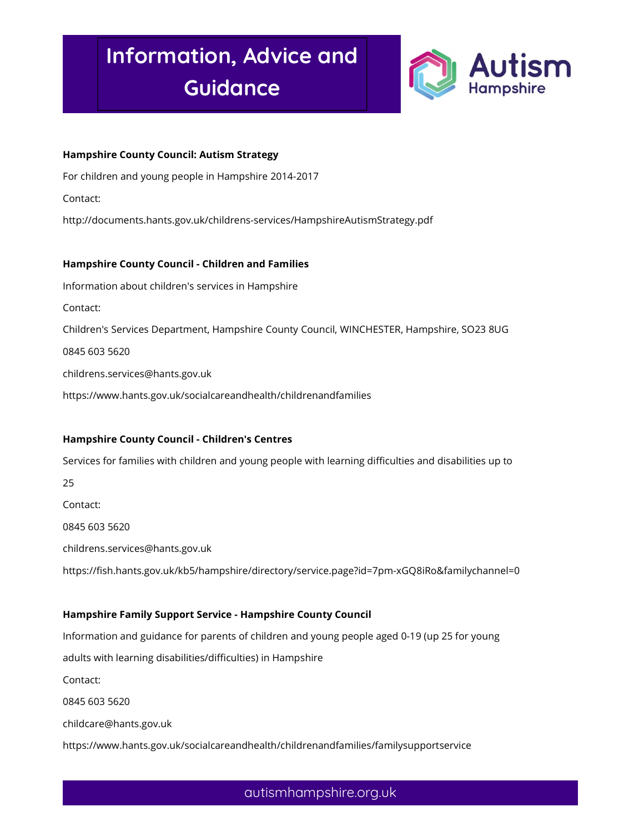

### Hampshire County Council: Autism Strategy

For children and young people in Hampshire 2014-2017

Contact:

http://documents.hants.gov.uk/childrens-services/HampshireAutismStrategy.pdf

### Hampshire County Council - Children and Families

Information about children's services in Hampshire Contact: Children's Services Department, Hampshire County Council, WINCHESTER, Hampshire, SO23 8UG 0845 603 5620 childrens.services@hants.gov.uk https://www.hants.gov.uk/socialcareandhealth/childrenandfamilies

## Hampshire County Council - Children's Centres

Services for families with children and young people with learning difficulties and disabilities up to 25 Contact: 0845 603 5620 childrens.services@hants.gov.uk https://fish.hants.gov.uk/kb5/hampshire/directory/service.page?id=7pm-xGQ8iRo&familychannel=0 Hampshire Family Support Service - Hampshire County Council Information and guidance for parents of children and young people aged 0-19 (up 25 for young adults with learning disabilities/difficulties) in Hampshire Contact:

0845 603 5620

childcare@hants.gov.uk

https://www.hants.gov.uk/socialcareandhealth/childrenandfamilies/familysupportservice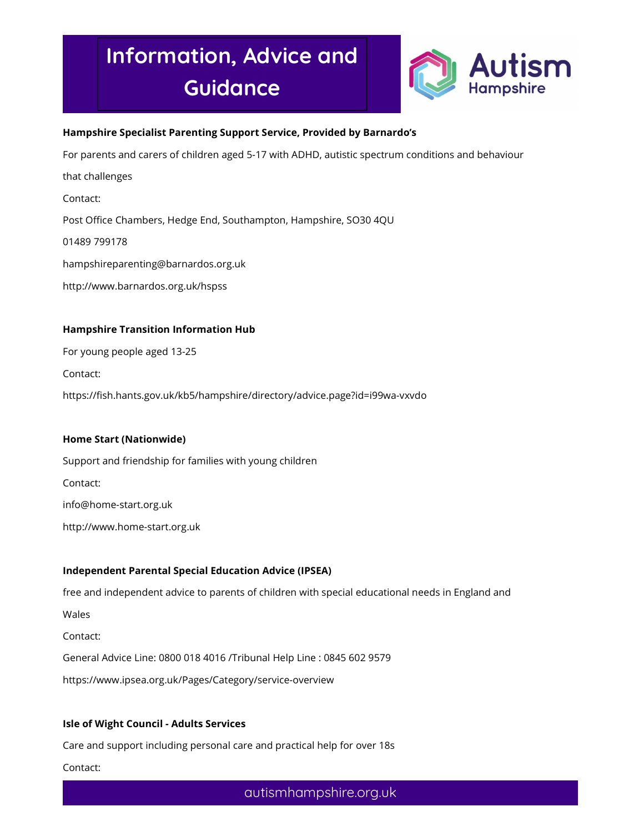

#### Hampshire Specialist Parenting Support Service, Provided by Barnardo's

For parents and carers of children aged 5-17 with ADHD, autistic spectrum conditions and behaviour

that challenges

Contact:

Post Office Chambers, Hedge End, Southampton, Hampshire, SO30 4QU

01489 799178

hampshireparenting@barnardos.org.uk

http://www.barnardos.org.uk/hspss

#### Hampshire Transition Information Hub

For young people aged 13-25 Contact: https://fish.hants.gov.uk/kb5/hampshire/directory/advice.page?id=i99wa-vxvdo

#### Home Start (Nationwide)

Support and friendship for families with young children Contact: info@home-start.org.uk http://www.home-start.org.uk

### Independent Parental Special Education Advice (IPSEA)

free and independent advice to parents of children with special educational needs in England and

Wales

Contact:

General Advice Line: 0800 018 4016 /Tribunal Help Line : 0845 602 9579

https://www.ipsea.org.uk/Pages/Category/service-overview

### Isle of Wight Council - Adults Services

Care and support including personal care and practical help for over 18s

Contact: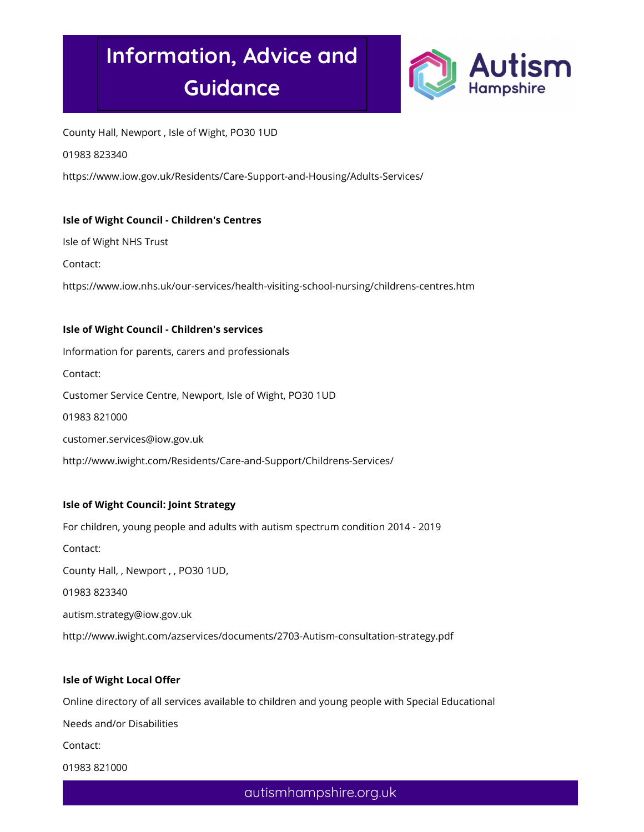

County Hall, Newport , Isle of Wight, PO30 1UD

01983 823340

https://www.iow.gov.uk/Residents/Care-Support-and-Housing/Adults-Services/

### Isle of Wight Council - Children's Centres

Isle of Wight NHS Trust

Contact:

https://www.iow.nhs.uk/our-services/health-visiting-school-nursing/childrens-centres.htm

### Isle of Wight Council - Children's services

Information for parents, carers and professionals Contact: Customer Service Centre, Newport, Isle of Wight, PO30 1UD 01983 821000 customer.services@iow.gov.uk http://www.iwight.com/Residents/Care-and-Support/Childrens-Services/

## Isle of Wight Council: Joint Strategy

For children, young people and adults with autism spectrum condition 2014 - 2019 Contact: County Hall, , Newport , , PO30 1UD, 01983 823340 autism.strategy@iow.gov.uk http://www.iwight.com/azservices/documents/2703-Autism-consultation-strategy.pdf

### Isle of Wight Local Offer

Online directory of all services available to children and young people with Special Educational Needs and/or Disabilities Contact: 01983 821000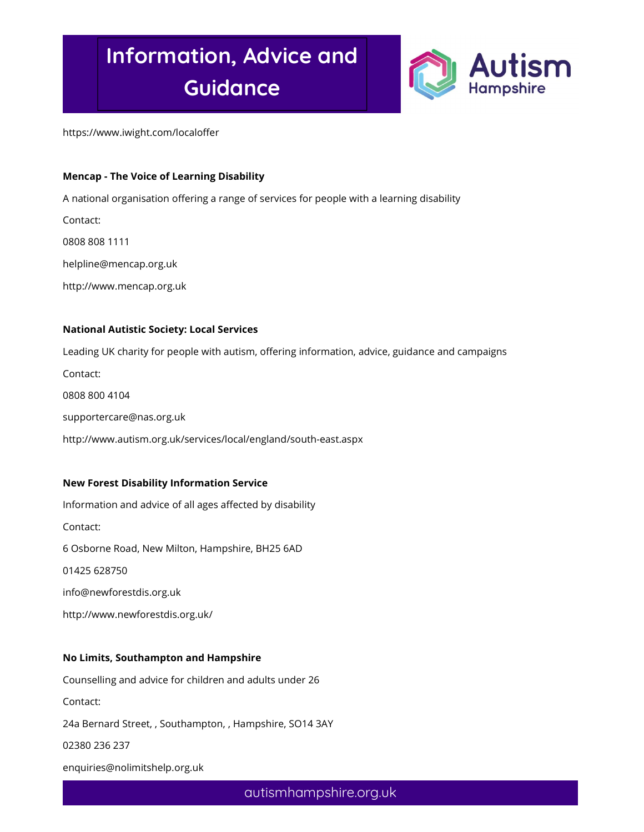

https://www.iwight.com/localoffer

### Mencap - The Voice of Learning Disability

A national organisation offering a range of services for people with a learning disability

Contact:

0808 808 1111

helpline@mencap.org.uk

http://www.mencap.org.uk

### National Autistic Society: Local Services

Leading UK charity for people with autism, offering information, advice, guidance and campaigns Contact: 0808 800 4104 supportercare@nas.org.uk http://www.autism.org.uk/services/local/england/south-east.aspx

## New Forest Disability Information Service

Information and advice of all ages affected by disability Contact: 6 Osborne Road, New Milton, Hampshire, BH25 6AD 01425 628750 info@newforestdis.org.uk http://www.newforestdis.org.uk/

### No Limits, Southampton and Hampshire

Counselling and advice for children and adults under 26 Contact: 24a Bernard Street, , Southampton, , Hampshire, SO14 3AY 02380 236 237 enquiries@nolimitshelp.org.uk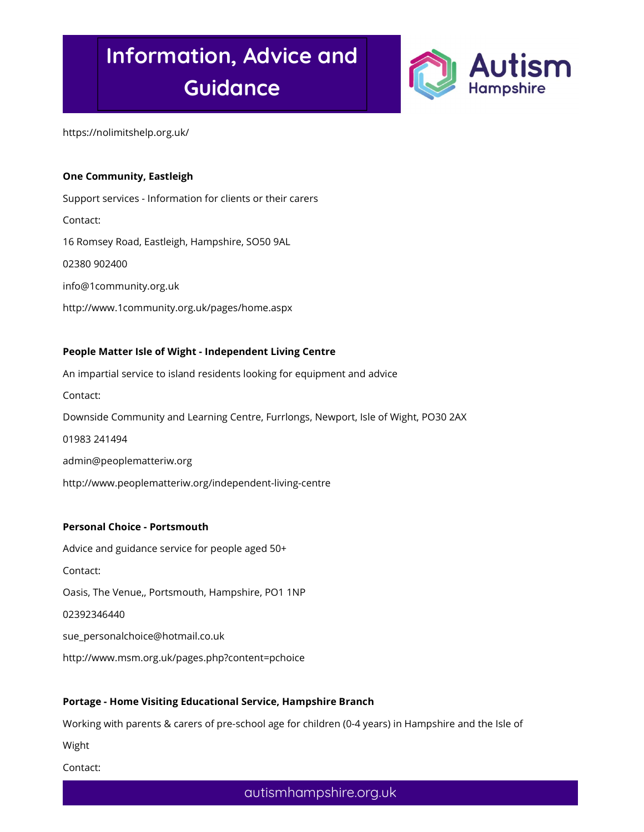

https://nolimitshelp.org.uk/

#### One Community, Eastleigh

Support services - Information for clients or their carers Contact: 16 Romsey Road, Eastleigh, Hampshire, SO50 9AL 02380 902400 info@1community.org.uk http://www.1community.org.uk/pages/home.aspx

#### People Matter Isle of Wight - Independent Living Centre

An impartial service to island residents looking for equipment and advice Contact: Downside Community and Learning Centre, Furrlongs, Newport, Isle of Wight, PO30 2AX 01983 241494 admin@peoplematteriw.org

http://www.peoplematteriw.org/independent-living-centre

#### Personal Choice - Portsmouth

Advice and guidance service for people aged 50+ Contact: Oasis, The Venue,, Portsmouth, Hampshire, PO1 1NP 02392346440 sue\_personalchoice@hotmail.co.uk http://www.msm.org.uk/pages.php?content=pchoice

#### Portage - Home Visiting Educational Service, Hampshire Branch

Working with parents & carers of pre-school age for children (0-4 years) in Hampshire and the Isle of

Wight

Contact: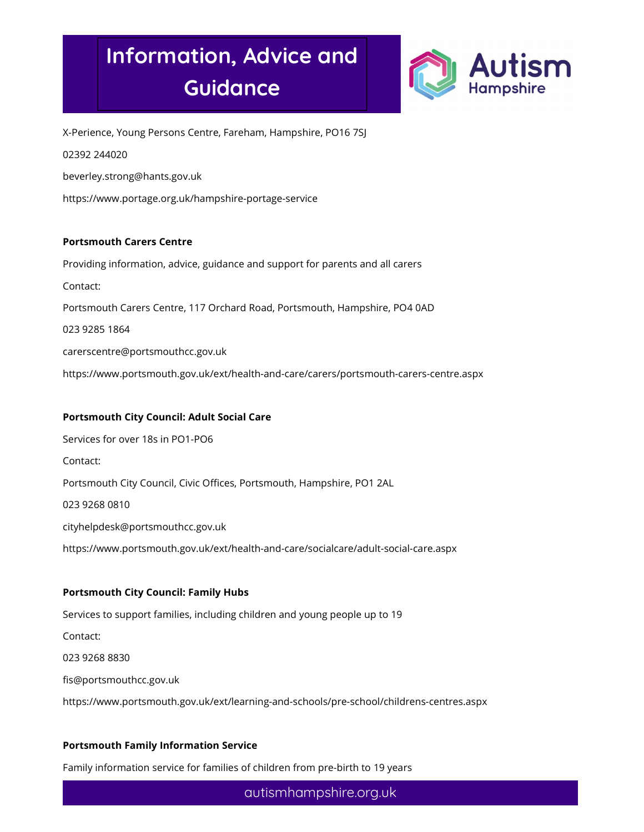

X-Perience, Young Persons Centre, Fareham, Hampshire, PO16 7SJ 02392 244020 beverley.strong@hants.gov.uk https://www.portage.org.uk/hampshire-portage-service

### Portsmouth Carers Centre

Providing information, advice, guidance and support for parents and all carers Contact: Portsmouth Carers Centre, 117 Orchard Road, Portsmouth, Hampshire, PO4 0AD 023 9285 1864 carerscentre@portsmouthcc.gov.uk https://www.portsmouth.gov.uk/ext/health-and-care/carers/portsmouth-carers-centre.aspx

## Portsmouth City Council: Adult Social Care

Services for over 18s in PO1-PO6 Contact: Portsmouth City Council, Civic Offices, Portsmouth, Hampshire, PO1 2AL 023 9268 0810 cityhelpdesk@portsmouthcc.gov.uk https://www.portsmouth.gov.uk/ext/health-and-care/socialcare/adult-social-care.aspx

## Portsmouth City Council: Family Hubs

Services to support families, including children and young people up to 19 Contact: 023 9268 8830 fis@portsmouthcc.gov.uk https://www.portsmouth.gov.uk/ext/learning-and-schools/pre-school/childrens-centres.aspx

### Portsmouth Family Information Service

Family information service for families of children from pre-birth to 19 years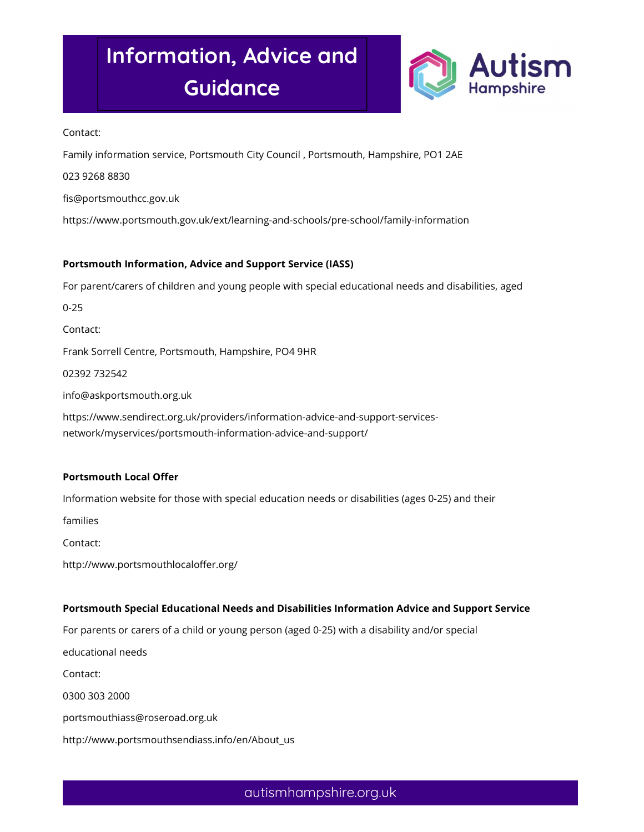

Contact:

Family information service, Portsmouth City Council , Portsmouth, Hampshire, PO1 2AE

023 9268 8830

fis@portsmouthcc.gov.uk

https://www.portsmouth.gov.uk/ext/learning-and-schools/pre-school/family-information

### Portsmouth Information, Advice and Support Service (IASS)

For parent/carers of children and young people with special educational needs and disabilities, aged

0-25

Contact:

Frank Sorrell Centre, Portsmouth, Hampshire, PO4 9HR

02392 732542

info@askportsmouth.org.uk

https://www.sendirect.org.uk/providers/information-advice-and-support-servicesnetwork/myservices/portsmouth-information-advice-and-support/

## Portsmouth Local Offer

Information website for those with special education needs or disabilities (ages 0-25) and their

families

Contact:

http://www.portsmouthlocaloffer.org/

### Portsmouth Special Educational Needs and Disabilities Information Advice and Support Service

For parents or carers of a child or young person (aged 0-25) with a disability and/or special

educational needs

Contact:

0300 303 2000

portsmouthiass@roseroad.org.uk

http://www.portsmouthsendiass.info/en/About\_us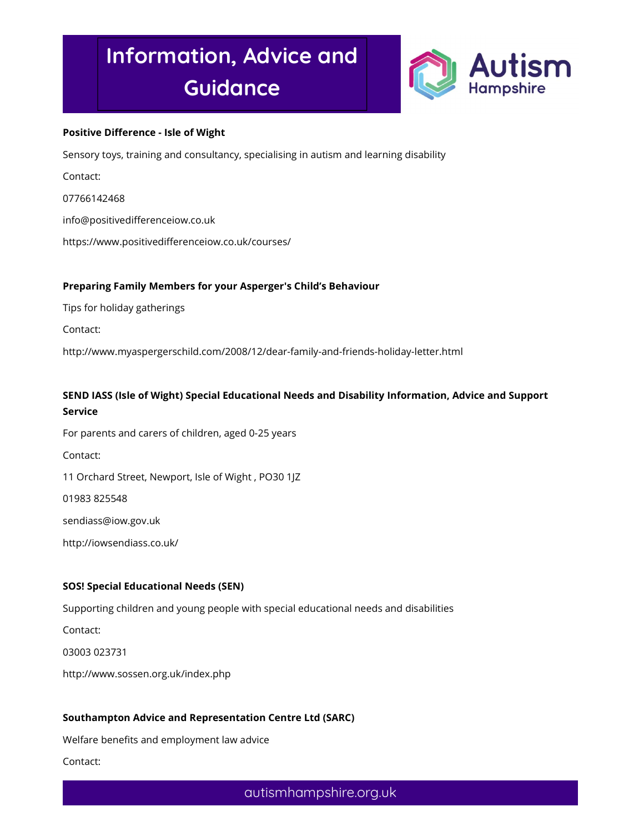

#### Positive Difference - Isle of Wight

Sensory toys, training and consultancy, specialising in autism and learning disability

Contact:

07766142468

info@positivedifferenceiow.co.uk

https://www.positivedifferenceiow.co.uk/courses/

### Preparing Family Members for your Asperger's Child's Behaviour

Tips for holiday gatherings

Contact:

http://www.myaspergerschild.com/2008/12/dear-family-and-friends-holiday-letter.html

## SEND IASS (Isle of Wight) Special Educational Needs and Disability Information, Advice and Support Service

For parents and carers of children, aged 0-25 years

Contact:

11 Orchard Street, Newport, Isle of Wight , PO30 1JZ

01983 825548

sendiass@iow.gov.uk

http://iowsendiass.co.uk/

### SOS! Special Educational Needs (SEN)

Supporting children and young people with special educational needs and disabilities

Contact:

03003 023731

http://www.sossen.org.uk/index.php

### Southampton Advice and Representation Centre Ltd (SARC)

Welfare benefits and employment law advice

Contact: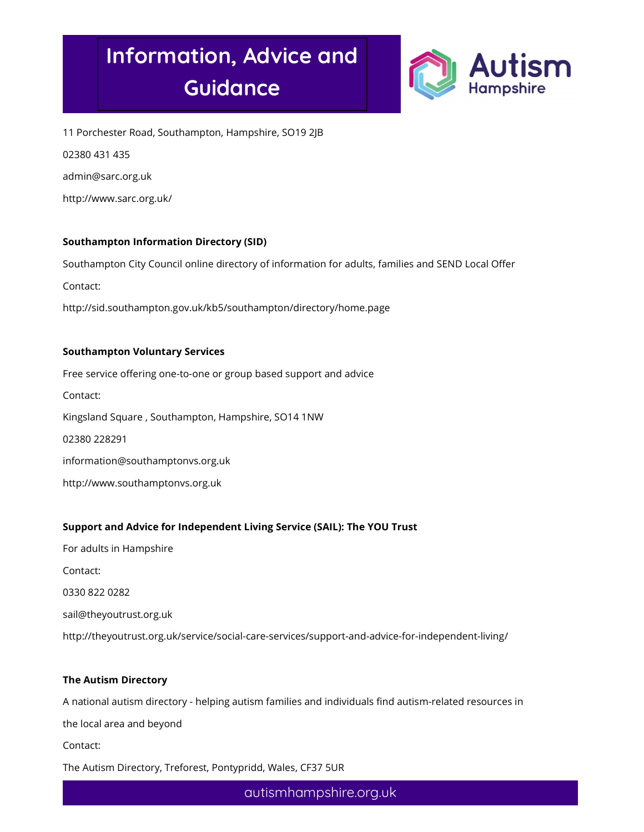

11 Porchester Road, Southampton, Hampshire, SO19 2JB 02380 431 435 admin@sarc.org.uk http://www.sarc.org.uk/

### Southampton Information Directory (SID)

Southampton City Council online directory of information for adults, families and SEND Local Offer

Contact:

http://sid.southampton.gov.uk/kb5/southampton/directory/home.page

### Southampton Voluntary Services

Free service offering one-to-one or group based support and advice Contact: Kingsland Square , Southampton, Hampshire, SO14 1NW 02380 228291 information@southamptonvs.org.uk http://www.southamptonvs.org.uk

### Support and Advice for Independent Living Service (SAIL): The YOU Trust

For adults in Hampshire Contact: 0330 822 0282 sail@theyoutrust.org.uk http://theyoutrust.org.uk/service/social-care-services/support-and-advice-for-independent-living/

### The Autism Directory

A national autism directory - helping autism families and individuals find autism-related resources in the local area and beyond Contact: The Autism Directory, Treforest, Pontypridd, Wales, CF37 5UR